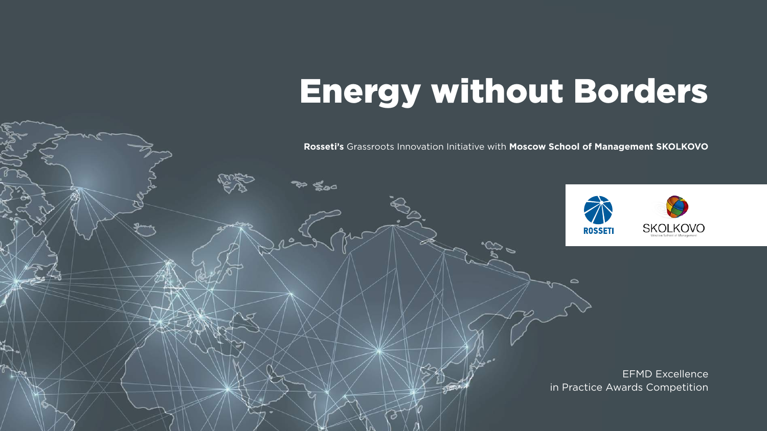### **Rosseti's** Grassroots Innovation Initiative with **Moscow School of Management SKOLKOVO**



EFMD Excellence in Practice Awards Competition

#### Energy without Borders **ГРАФИЧЕСКОЕ РЕШЕНИЕ ЗНАКА** Логотип и его построение (русская версия) **ГРАФИЧЕСКОЕ РЕШЕНИЕ ЗНАКА** Логотип и его построение (english version)

 $\sim$   $\sim$   $\sim$   $\sim$ 

 $N = 10$ 

 $V = I$  $\mathcal{U}$  -  $\mathcal{V}$  -  $\mathcal{V}$ 

 $\mathbb{Z}$ увеличенным трекингом, и знака.  $\mathbf{X}$   $\mathbf{I}$   $\mathbf{I}$  $\alpha$  is the set of  $\alpha$ 

 $\mathbb{R}$ 

 $\sim$  1 $\times$  1

క్కం

Логотип (english version) состоит из шрифтовой части, набранной шрифтом DinText Cond Pro Bold с увеличенным  $\sim$ расположение и пропорции написания  $\sim$  300  $\sim$ Допускается раздельное использова-

 $\circ$